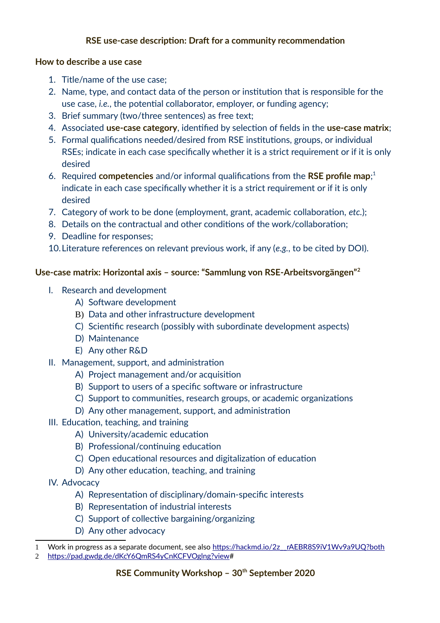# **RSE use-case description: Draft for a community recommendation**

#### **How to describe a use case**

- 1. Title/name of the use case;
- 2. Name, type, and contact data of the person or institution that is responsible for the use case, *i.e.*, the potential collaborator, employer, or funding agency;
- 3. Brief summary (two/three sentences) as free text;
- 4. Associated **use-case category**, identified by selection of fields in the **use-case matrix**;
- 5. Formal qualifications needed/desired from RSE institutions, groups, or individual RSEs; indicate in each case specifically whether it is a strict requirement or if it is only desired
- 6. Required **competencies** and/or informal qualifications from the **RSE profile map**; [1](#page-0-0) indicate in each case specifically whether it is a strict requirement or if it is only desired
- 7. Category of work to be done (employment, grant, academic collaboration, *etc.*);
- 8. Details on the contractual and other conditions of the work/collaboration;
- 9. Deadline for responses;
- 10.Literature references on relevant previous work, if any (*e.g.*, to be cited by DOI).

# **Use-case matrix: Horizontal axis – source: "Sammlung von RSE-Arbeitsvorgängen"[2](#page-0-1)**

- I. Research and development
	- A) Software development
	- B) Data and other infrastructure development
	- C) Scientific research (possibly with subordinate development aspects)
	- D) Maintenance
	- E) Any other R&D
- II. Management, support, and administration
	- A) Project management and/or acquisition
	- B) Support to users of a specific software or infrastructure
	- C) Support to communities, research groups, or academic organizations
	- D) Any other management, support, and administration
- III. Education, teaching, and training
	- A) University/academic education
	- B) Professional/continuing education
	- C) Open educational resources and digitalization of education
	- D) Any other education, teaching, and training
- IV. Advocacy
	- A) Representation of disciplinary/domain-specific interests
	- B) Representation of industrial interests
	- C) Support of collective bargaining/organizing
	- D) Any other advocacy

<span id="page-0-0"></span><sup>1</sup> Work in progress as a separate document, see also https://hackmd.io/2z\_rAEBR8S9iV1Wv9a9UQ?both

<span id="page-0-1"></span><sup>2</sup> [https://pad.gwdg.de/dKcY6QmRS4yCnKCFVOglng?view#](https://pad.gwdg.de/dKcY6QmRS4yCnKCFVOglng?view)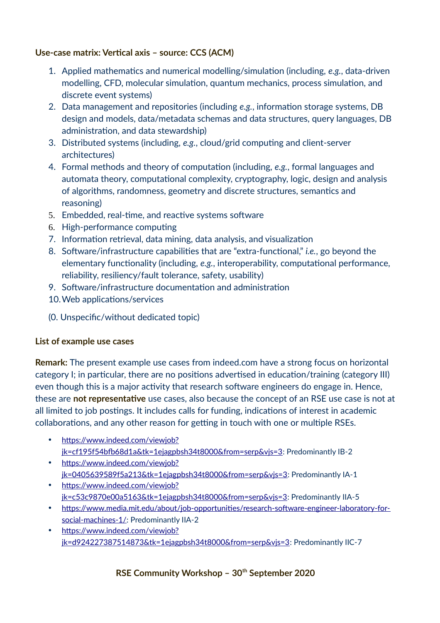## **Use-case matrix: Vertical axis – source: CCS (ACM)**

- 1. Applied mathematics and numerical modelling/simulation (including, *e.g.*, data-driven modelling, CFD, molecular simulation, quantum mechanics, process simulation, and discrete event systems)
- 2. Data management and repositories (including *e.g.*, information storage systems, DB design and models, data/metadata schemas and data structures, query languages, DB administration, and data stewardship)
- 3. Distributed systems (including, *e.g.*, cloud/grid computing and client-server architectures)
- 4. Formal methods and theory of computation (including, *e.g.*, formal languages and automata theory, computational complexity, cryptography, logic, design and analysis of algorithms, randomness, geometry and discrete structures, semantics and reasoning)
- 5. Embedded, real-time, and reactive systems software
- 6. High-performance computing
- 7. Information retrieval, data mining, data analysis, and visualization
- 8. Software/infrastructure capabilities that are "extra-functional," *i.e.*, go beyond the elementary functionality (including, *e.g.*, interoperability, computational performance, reliability, resiliency/fault tolerance, safety, usability)
- 9. Software/infrastructure documentation and administration
- 10.Web applications/services
- (0. Unspecific/without dedicated topic)

# **List of example use cases**

**Remark:** The present example use cases from indeed.com have a strong focus on horizontal category I; in particular, there are no positions advertised in education/training (category III) even though this is a major activity that research software engineers do engage in. Hence, these are **not representative** use cases, also because the concept of an RSE use case is not at all limited to job postings. It includes calls for funding, indications of interest in academic collaborations, and any other reason for getting in touch with one or multiple RSEs.

- [https://www.indeed.com/viewjob?](https://www.indeed.com/viewjob?jk=cf195f54bfb68d1a&tk=1ejagpbsh34t8000&from=serp&vjs=3) [jk=cf195f54bfb68d1a&tk=1ejagpbsh34t8000&from=serp&vjs=3:](https://www.indeed.com/viewjob?jk=cf195f54bfb68d1a&tk=1ejagpbsh34t8000&from=serp&vjs=3) Predominantly IB-2
- https://www.indeed.com/viewiob? [jk=0405639589f5a213&tk=1ejagpbsh34t8000&from=serp&vjs=3:](https://www.indeed.com/viewjob?jk=0405639589f5a213&tk=1ejagpbsh34t8000&from=serp&vjs=3) Predominantly IA-1
- [https://www.indeed.com/viewjob?](https://www.indeed.com/viewjob?jk=c53c9870e00a5163&tk=1ejagpbsh34t8000&from=serp&vjs=3) [jk=c53c9870e00a5163&tk=1ejagpbsh34t8000&from=serp&vjs=3:](https://www.indeed.com/viewjob?jk=c53c9870e00a5163&tk=1ejagpbsh34t8000&from=serp&vjs=3) Predominantly IIA-5
- [https://www.media.mit.edu/about/job-opportunities/research-software-engineer-laboratory-for](https://www.media.mit.edu/about/job-opportunities/research-software-engineer-laboratory-for-social-machines-1/)[social-machines-1/:](https://www.media.mit.edu/about/job-opportunities/research-software-engineer-laboratory-for-social-machines-1/) Predominantly IIA-2
- [https://www.indeed.com/viewjob?](https://www.indeed.com/viewjob?jk=d924227387514873&tk=1ejagpbsh34t8000&from=serp&vjs=3) [jk=d924227387514873&tk=1ejagpbsh34t8000&from=serp&vjs=3:](https://www.indeed.com/viewjob?jk=d924227387514873&tk=1ejagpbsh34t8000&from=serp&vjs=3) Predominantly IIC-7